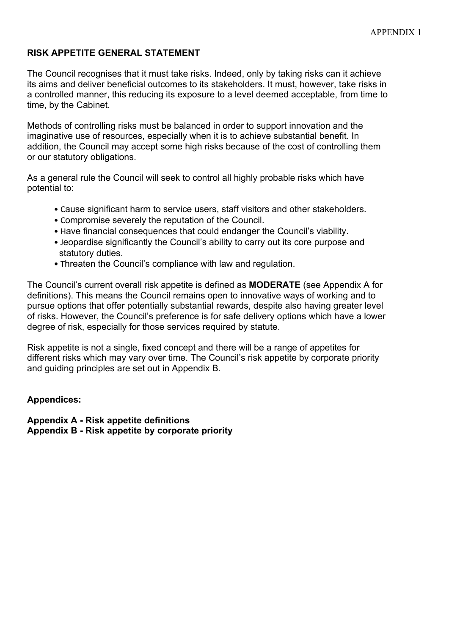## **RISK APPETITE GENERAL STATEMENT**

The Council recognises that it must take risks. Indeed, only by taking risks can it achieve its aims and deliver beneficial outcomes to its stakeholders. It must, however, take risks in a controlled manner, this reducing its exposure to a level deemed acceptable, from time to time, by the Cabinet.

Methods of controlling risks must be balanced in order to support innovation and the imaginative use of resources, especially when it is to achieve substantial benefit. In addition, the Council may accept some high risks because of the cost of controlling them or our statutory obligations.

As a general rule the Council will seek to control all highly probable risks which have potential to:

- Cause significant harm to service users, staff visitors and other stakeholders.
- Compromise severely the reputation of the Council.
- Have financial consequences that could endanger the Council's viability.
- Jeopardise significantly the Council's ability to carry out its core purpose and statutory duties.
- Threaten the Council's compliance with law and regulation.

The Council's current overall risk appetite is defined as **MODERATE** (see Appendix A for definitions). This means the Council remains open to innovative ways of working and to pursue options that offer potentially substantial rewards, despite also having greater level of risks. However, the Council's preference is for safe delivery options which have a lower degree of risk, especially for those services required by statute.

Risk appetite is not a single, fixed concept and there will be a range of appetites for different risks which may vary over time. The Council's risk appetite by corporate priority and guiding principles are set out in Appendix B.

## **Appendices:**

**Appendix A - Risk appetite definitions Appendix B - Risk appetite by corporate priority**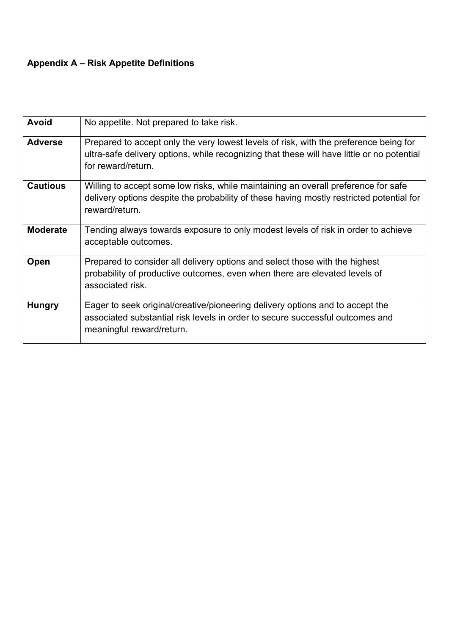## **Appendix A – Risk Appetite Definitions**

| <b>Avoid</b>    | No appetite. Not prepared to take risk.                                                                                                                                                                   |  |  |
|-----------------|-----------------------------------------------------------------------------------------------------------------------------------------------------------------------------------------------------------|--|--|
| <b>Adverse</b>  | Prepared to accept only the very lowest levels of risk, with the preference being for<br>ultra-safe delivery options, while recognizing that these will have little or no potential<br>for reward/return. |  |  |
| <b>Cautious</b> | Willing to accept some low risks, while maintaining an overall preference for safe<br>delivery options despite the probability of these having mostly restricted potential for<br>reward/return.          |  |  |
| <b>Moderate</b> | Tending always towards exposure to only modest levels of risk in order to achieve<br>acceptable outcomes.                                                                                                 |  |  |
| Open            | Prepared to consider all delivery options and select those with the highest<br>probability of productive outcomes, even when there are elevated levels of<br>associated risk.                             |  |  |
| <b>Hungry</b>   | Eager to seek original/creative/pioneering delivery options and to accept the<br>associated substantial risk levels in order to secure successful outcomes and<br>meaningful reward/return.               |  |  |